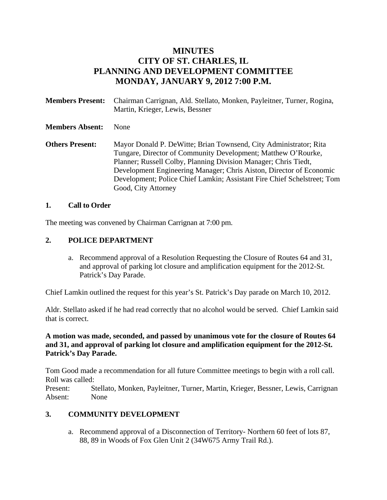# **MINUTES CITY OF ST. CHARLES, IL PLANNING AND DEVELOPMENT COMMITTEE MONDAY, JANUARY 9, 2012 7:00 P.M.**

| <b>Members Present:</b> | Chairman Carrignan, Ald. Stellato, Monken, Payleitner, Turner, Rogina,<br>Martin, Krieger, Lewis, Bessner                                                                                                                                                                                                                                                                       |
|-------------------------|---------------------------------------------------------------------------------------------------------------------------------------------------------------------------------------------------------------------------------------------------------------------------------------------------------------------------------------------------------------------------------|
| <b>Members Absent:</b>  | <b>None</b>                                                                                                                                                                                                                                                                                                                                                                     |
| <b>Others Present:</b>  | Mayor Donald P. De Witte; Brian Townsend, City Administrator; Rita<br>Tungare, Director of Community Development; Matthew O'Rourke,<br>Planner; Russell Colby, Planning Division Manager; Chris Tiedt,<br>Development Engineering Manager; Chris Aiston, Director of Economic<br>Development; Police Chief Lamkin; Assistant Fire Chief Schelstreet; Tom<br>Good, City Attorney |

#### **1. Call to Order**

The meeting was convened by Chairman Carrignan at 7:00 pm.

#### **2. POLICE DEPARTMENT**

a. Recommend approval of a Resolution Requesting the Closure of Routes 64 and 31, and approval of parking lot closure and amplification equipment for the 2012-St. Patrick's Day Parade.

Chief Lamkin outlined the request for this year's St. Patrick's Day parade on March 10, 2012.

Aldr. Stellato asked if he had read correctly that no alcohol would be served. Chief Lamkin said that is correct.

**A motion was made, seconded, and passed by unanimous vote for the closure of Routes 64 and 31, and approval of parking lot closure and amplification equipment for the 2012-St. Patrick's Day Parade.** 

Tom Good made a recommendation for all future Committee meetings to begin with a roll call. Roll was called:

Present: Stellato, Monken, Payleitner, Turner, Martin, Krieger, Bessner, Lewis, Carrignan Absent: None

### **3. COMMUNITY DEVELOPMENT**

a. Recommend approval of a Disconnection of Territory- Northern 60 feet of lots 87, 88, 89 in Woods of Fox Glen Unit 2 (34W675 Army Trail Rd.).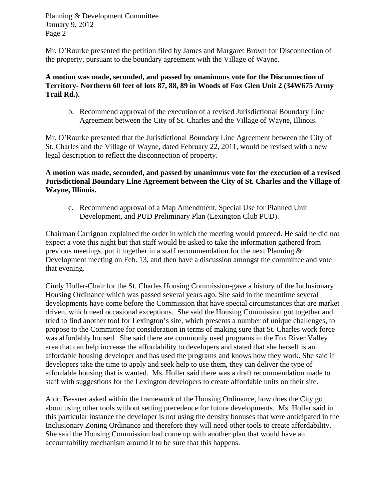Mr. O'Rourke presented the petition filed by James and Margaret Brown for Disconnection of the property, pursuant to the boundary agreement with the Village of Wayne.

**A motion was made, seconded, and passed by unanimous vote for the Disconnection of Territory- Northern 60 feet of lots 87, 88, 89 in Woods of Fox Glen Unit 2 (34W675 Army Trail Rd.).** 

b. Recommend approval of the execution of a revised Jurisdictional Boundary Line Agreement between the City of St. Charles and the Village of Wayne, Illinois.

Mr. O'Rourke presented that the Jurisdictional Boundary Line Agreement between the City of St. Charles and the Village of Wayne, dated February 22, 2011, would be revised with a new legal description to reflect the disconnection of property.

**A motion was made, seconded, and passed by unanimous vote for the execution of a revised Jurisdictional Boundary Line Agreement between the City of St. Charles and the Village of Wayne, Illinois.** 

c. Recommend approval of a Map Amendment, Special Use for Planned Unit Development, and PUD Preliminary Plan (Lexington Club PUD).

Chairman Carrignan explained the order in which the meeting would proceed. He said he did not expect a vote this night but that staff would be asked to take the information gathered from previous meetings, put it together in a staff recommendation for the next Planning  $\&$ Development meeting on Feb. 13, and then have a discussion amongst the committee and vote that evening.

Cindy Holler-Chair for the St. Charles Housing Commission-gave a history of the Inclusionary Housing Ordinance which was passed several years ago. She said in the meantime several developments have come before the Commission that have special circumstances that are market driven, which need occasional exceptions. She said the Housing Commission got together and tried to find another tool for Lexington's site, which presents a number of unique challenges, to propose to the Committee for consideration in terms of making sure that St. Charles work force was affordably housed. She said there are commonly used programs in the Fox River Valley area that can help increase the affordability to developers and stated that she herself is an affordable housing developer and has used the programs and knows how they work. She said if developers take the time to apply and seek help to use them, they can deliver the type of affordable housing that is wanted. Ms. Holler said there was a draft recommendation made to staff with suggestions for the Lexington developers to create affordable units on their site.

Aldr. Bessner asked within the framework of the Housing Ordinance, how does the City go about using other tools without setting precedence for future developments. Ms. Holler said in this particular instance the developer is not using the density bonuses that were anticipated in the Inclusionary Zoning Ordinance and therefore they will need other tools to create affordability. She said the Housing Commission had come up with another plan that would have an accountability mechanism around it to be sure that this happens.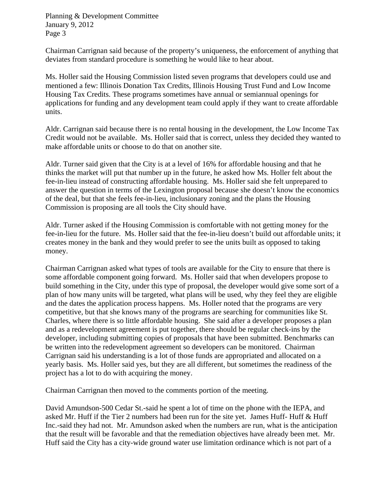Chairman Carrignan said because of the property's uniqueness, the enforcement of anything that deviates from standard procedure is something he would like to hear about.

Ms. Holler said the Housing Commission listed seven programs that developers could use and mentioned a few: Illinois Donation Tax Credits, Illinois Housing Trust Fund and Low Income Housing Tax Credits. These programs sometimes have annual or semiannual openings for applications for funding and any development team could apply if they want to create affordable units.

Aldr. Carrignan said because there is no rental housing in the development, the Low Income Tax Credit would not be available. Ms. Holler said that is correct, unless they decided they wanted to make affordable units or choose to do that on another site.

Aldr. Turner said given that the City is at a level of 16% for affordable housing and that he thinks the market will put that number up in the future, he asked how Ms. Holler felt about the fee-in-lieu instead of constructing affordable housing. Ms. Holler said she felt unprepared to answer the question in terms of the Lexington proposal because she doesn't know the economics of the deal, but that she feels fee-in-lieu, inclusionary zoning and the plans the Housing Commission is proposing are all tools the City should have.

Aldr. Turner asked if the Housing Commission is comfortable with not getting money for the fee-in-lieu for the future. Ms. Holler said that the fee-in-lieu doesn't build out affordable units; it creates money in the bank and they would prefer to see the units built as opposed to taking money.

Chairman Carrignan asked what types of tools are available for the City to ensure that there is some affordable component going forward. Ms. Holler said that when developers propose to build something in the City, under this type of proposal, the developer would give some sort of a plan of how many units will be targeted, what plans will be used, why they feel they are eligible and the dates the application process happens. Ms. Holler noted that the programs are very competitive, but that she knows many of the programs are searching for communities like St. Charles, where there is so little affordable housing. She said after a developer proposes a plan and as a redevelopment agreement is put together, there should be regular check-ins by the developer, including submitting copies of proposals that have been submitted. Benchmarks can be written into the redevelopment agreement so developers can be monitored. Chairman Carrignan said his understanding is a lot of those funds are appropriated and allocated on a yearly basis. Ms. Holler said yes, but they are all different, but sometimes the readiness of the project has a lot to do with acquiring the money.

Chairman Carrignan then moved to the comments portion of the meeting.

David Amundson-500 Cedar St.-said he spent a lot of time on the phone with the IEPA, and asked Mr. Huff if the Tier 2 numbers had been run for the site yet. James Huff- Huff & Huff Inc.-said they had not. Mr. Amundson asked when the numbers are run, what is the anticipation that the result will be favorable and that the remediation objectives have already been met. Mr. Huff said the City has a city-wide ground water use limitation ordinance which is not part of a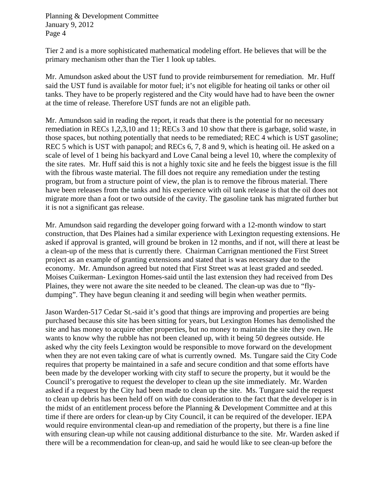Tier 2 and is a more sophisticated mathematical modeling effort. He believes that will be the primary mechanism other than the Tier 1 look up tables.

Mr. Amundson asked about the UST fund to provide reimbursement for remediation. Mr. Huff said the UST fund is available for motor fuel; it's not eligible for heating oil tanks or other oil tanks. They have to be properly registered and the City would have had to have been the owner at the time of release. Therefore UST funds are not an eligible path.

Mr. Amundson said in reading the report, it reads that there is the potential for no necessary remediation in RECs 1,2,3,10 and 11; RECs 3 and 10 show that there is garbage, solid waste, in those spaces, but nothing potentially that needs to be remediated; REC 4 which is UST gasoline; REC 5 which is UST with panapol; and RECs 6, 7, 8 and 9, which is heating oil. He asked on a scale of level of 1 being his backyard and Love Canal being a level 10, where the complexity of the site rates. Mr. Huff said this is not a highly toxic site and he feels the biggest issue is the fill with the fibrous waste material. The fill does not require any remediation under the testing program, but from a structure point of view, the plan is to remove the fibrous material. There have been releases from the tanks and his experience with oil tank release is that the oil does not migrate more than a foot or two outside of the cavity. The gasoline tank has migrated further but it is not a significant gas release.

Mr. Amundson said regarding the developer going forward with a 12-month window to start construction, that Des Plaines had a similar experience with Lexington requesting extensions. He asked if approval is granted, will ground be broken in 12 months, and if not, will there at least be a clean-up of the mess that is currently there. Chairman Carrignan mentioned the First Street project as an example of granting extensions and stated that is was necessary due to the economy. Mr. Amundson agreed but noted that First Street was at least graded and seeded. Moises Cuikerman- Lexington Homes-said until the last extension they had received from Des Plaines, they were not aware the site needed to be cleaned. The clean-up was due to "flydumping". They have begun cleaning it and seeding will begin when weather permits.

Jason Warden-517 Cedar St.-said it's good that things are improving and properties are being purchased because this site has been sitting for years, but Lexington Homes has demolished the site and has money to acquire other properties, but no money to maintain the site they own. He wants to know why the rubble has not been cleaned up, with it being 50 degrees outside. He asked why the city feels Lexington would be responsible to move forward on the development when they are not even taking care of what is currently owned. Ms. Tungare said the City Code requires that property be maintained in a safe and secure condition and that some efforts have been made by the developer working with city staff to secure the property, but it would be the Council's prerogative to request the developer to clean up the site immediately. Mr. Warden asked if a request by the City had been made to clean up the site. Ms. Tungare said the request to clean up debris has been held off on with due consideration to the fact that the developer is in the midst of an entitlement process before the Planning & Development Committee and at this time if there are orders for clean-up by City Council, it can be required of the developer. IEPA would require environmental clean-up and remediation of the property, but there is a fine line with ensuring clean-up while not causing additional disturbance to the site. Mr. Warden asked if there will be a recommendation for clean-up, and said he would like to see clean-up before the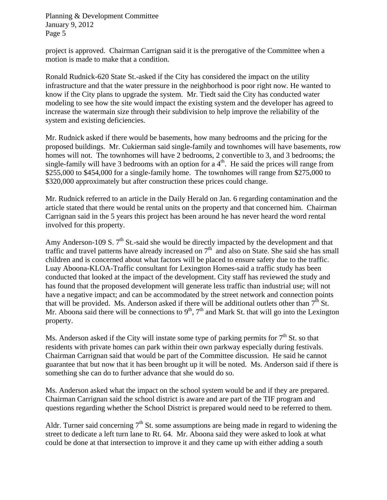project is approved. Chairman Carrignan said it is the prerogative of the Committee when a motion is made to make that a condition.

Ronald Rudnick-620 State St.-asked if the City has considered the impact on the utility infrastructure and that the water pressure in the neighborhood is poor right now. He wanted to know if the City plans to upgrade the system. Mr. Tiedt said the City has conducted water modeling to see how the site would impact the existing system and the developer has agreed to increase the watermain size through their subdivision to help improve the reliability of the system and existing deficiencies.

Mr. Rudnick asked if there would be basements, how many bedrooms and the pricing for the proposed buildings. Mr. Cukierman said single-family and townhomes will have basements, row homes will not. The townhomes will have 2 bedrooms, 2 convertible to 3, and 3 bedrooms; the single-family will have 3 bedrooms with an option for  $a 4<sup>th</sup>$ . He said the prices will range from \$255,000 to \$454,000 for a single-family home. The townhomes will range from \$275,000 to \$320,000 approximately but after construction these prices could change.

Mr. Rudnick referred to an article in the Daily Herald on Jan. 6 regarding contamination and the article stated that there would be rental units on the property and that concerned him. Chairman Carrignan said in the 5 years this project has been around he has never heard the word rental involved for this property.

Amy Anderson-109 S.  $7<sup>th</sup>$  St.-said she would be directly impacted by the development and that traffic and travel patterns have already increased on  $7<sup>th</sup>$  and also on State. She said she has small children and is concerned about what factors will be placed to ensure safety due to the traffic. Luay Aboona-KLOA-Traffic consultant for Lexington Homes-said a traffic study has been conducted that looked at the impact of the development. City staff has reviewed the study and has found that the proposed development will generate less traffic than industrial use; will not have a negative impact; and can be accommodated by the street network and connection points that will be provided. Ms. Anderson asked if there will be additional outlets other than  $7<sup>th</sup>$  St. Mr. Aboona said there will be connections to  $9<sup>th</sup>$ ,  $7<sup>th</sup>$  and Mark St. that will go into the Lexington property.

Ms. Anderson asked if the City will instate some type of parking permits for  $7<sup>th</sup>$  St. so that residents with private homes can park within their own parkway especially during festivals. Chairman Carrignan said that would be part of the Committee discussion. He said he cannot guarantee that but now that it has been brought up it will be noted. Ms. Anderson said if there is something she can do to further advance that she would do so.

Ms. Anderson asked what the impact on the school system would be and if they are prepared. Chairman Carrignan said the school district is aware and are part of the TIF program and questions regarding whether the School District is prepared would need to be referred to them.

Aldr. Turner said concerning  $7<sup>th</sup>$  St. some assumptions are being made in regard to widening the street to dedicate a left turn lane to Rt. 64. Mr. Aboona said they were asked to look at what could be done at that intersection to improve it and they came up with either adding a south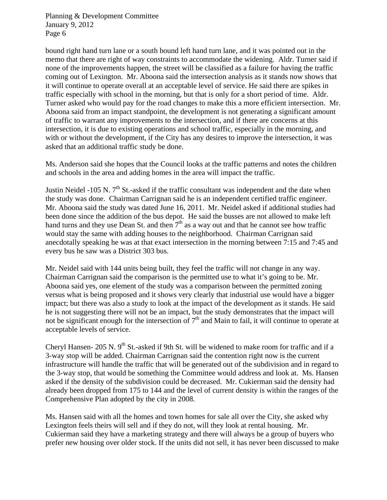bound right hand turn lane or a south bound left hand turn lane, and it was pointed out in the memo that there are right of way constraints to accommodate the widening. Aldr. Turner said if none of the improvements happen, the street will be classified as a failure for having the traffic coming out of Lexington. Mr. Aboona said the intersection analysis as it stands now shows that it will continue to operate overall at an acceptable level of service. He said there are spikes in traffic especially with school in the morning, but that is only for a short period of time. Aldr. Turner asked who would pay for the road changes to make this a more efficient intersection. Mr. Aboona said from an impact standpoint, the development is not generating a significant amount of traffic to warrant any improvements to the intersection, and if there are concerns at this intersection, it is due to existing operations and school traffic, especially in the morning, and with or without the development, if the City has any desires to improve the intersection, it was asked that an additional traffic study be done.

Ms. Anderson said she hopes that the Council looks at the traffic patterns and notes the children and schools in the area and adding homes in the area will impact the traffic.

Justin Neidel -105 N. 7<sup>th</sup> St.-asked if the traffic consultant was independent and the date when the study was done. Chairman Carrignan said he is an independent certified traffic engineer. Mr. Aboona said the study was dated June 16, 2011. Mr. Neidel asked if additional studies had been done since the addition of the bus depot. He said the busses are not allowed to make left hand turns and they use Dean St. and then  $7<sup>th</sup>$  as a way out and that he cannot see how traffic would stay the same with adding houses to the neighborhood. Chairman Carrignan said anecdotally speaking he was at that exact intersection in the morning between 7:15 and 7:45 and every bus he saw was a District 303 bus.

Mr. Neidel said with 144 units being built, they feel the traffic will not change in any way. Chairman Carrignan said the comparison is the permitted use to what it's going to be. Mr. Aboona said yes, one element of the study was a comparison between the permitted zoning versus what is being proposed and it shows very clearly that industrial use would have a bigger impact; but there was also a study to look at the impact of the development as it stands. He said he is not suggesting there will not be an impact, but the study demonstrates that the impact will not be significant enough for the intersection of  $7<sup>th</sup>$  and Main to fail, it will continue to operate at acceptable levels of service.

Cheryl Hansen- 205 N.  $9<sup>th</sup>$  St.-asked if 9th St. will be widened to make room for traffic and if a 3-way stop will be added. Chairman Carrignan said the contention right now is the current infrastructure will handle the traffic that will be generated out of the subdivision and in regard to the 3-way stop, that would be something the Committee would address and look at. Ms. Hansen asked if the density of the subdivision could be decreased. Mr. Cukierman said the density had already been dropped from 175 to 144 and the level of current density is within the ranges of the Comprehensive Plan adopted by the city in 2008.

Ms. Hansen said with all the homes and town homes for sale all over the City, she asked why Lexington feels theirs will sell and if they do not, will they look at rental housing. Mr. Cukierman said they have a marketing strategy and there will always be a group of buyers who prefer new housing over older stock. If the units did not sell, it has never been discussed to make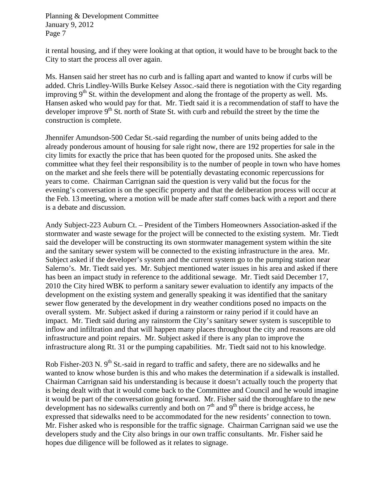it rental housing, and if they were looking at that option, it would have to be brought back to the City to start the process all over again.

Ms. Hansen said her street has no curb and is falling apart and wanted to know if curbs will be added. Chris Lindley-Wills Burke Kelsey Assoc.-said there is negotiation with the City regarding improving  $9<sup>th</sup>$  St. within the development and along the frontage of the property as well. Ms. Hansen asked who would pay for that. Mr. Tiedt said it is a recommendation of staff to have the developer improve  $9<sup>th</sup>$  St. north of State St. with curb and rebuild the street by the time the construction is complete.

Jhennifer Amundson-500 Cedar St.-said regarding the number of units being added to the already ponderous amount of housing for sale right now, there are 192 properties for sale in the city limits for exactly the price that has been quoted for the proposed units. She asked the committee what they feel their responsibility is to the number of people in town who have homes on the market and she feels there will be potentially devastating economic repercussions for years to come. Chairman Carrignan said the question is very valid but the focus for the evening's conversation is on the specific property and that the deliberation process will occur at the Feb. 13 meeting, where a motion will be made after staff comes back with a report and there is a debate and discussion.

Andy Subject-223 Auburn Ct. – President of the Timbers Homeowners Association-asked if the stormwater and waste sewage for the project will be connected to the existing system. Mr. Tiedt said the developer will be constructing its own stormwater management system within the site and the sanitary sewer system will be connected to the existing infrastructure in the area. Mr. Subject asked if the developer's system and the current system go to the pumping station near Salerno's. Mr. Tiedt said yes. Mr. Subject mentioned water issues in his area and asked if there has been an impact study in reference to the additional sewage. Mr. Tiedt said December 17, 2010 the City hired WBK to perform a sanitary sewer evaluation to identify any impacts of the development on the existing system and generally speaking it was identified that the sanitary sewer flow generated by the development in dry weather conditions posed no impacts on the overall system. Mr. Subject asked if during a rainstorm or rainy period if it could have an impact. Mr. Tiedt said during any rainstorm the City's sanitary sewer system is susceptible to inflow and infiltration and that will happen many places throughout the city and reasons are old infrastructure and point repairs. Mr. Subject asked if there is any plan to improve the infrastructure along Rt. 31 or the pumping capabilities. Mr. Tiedt said not to his knowledge.

Rob Fisher-203 N.  $9<sup>th</sup>$  St.-said in regard to traffic and safety, there are no sidewalks and he wanted to know whose burden is this and who makes the determination if a sidewalk is installed. Chairman Carrignan said his understanding is because it doesn't actually touch the property that is being dealt with that it would come back to the Committee and Council and he would imagine it would be part of the conversation going forward. Mr. Fisher said the thoroughfare to the new development has no sidewalks currently and both on  $7<sup>th</sup>$  and  $9<sup>th</sup>$  there is bridge access, he expressed that sidewalks need to be accommodated for the new residents' connection to town. Mr. Fisher asked who is responsible for the traffic signage. Chairman Carrignan said we use the developers study and the City also brings in our own traffic consultants. Mr. Fisher said he hopes due diligence will be followed as it relates to signage.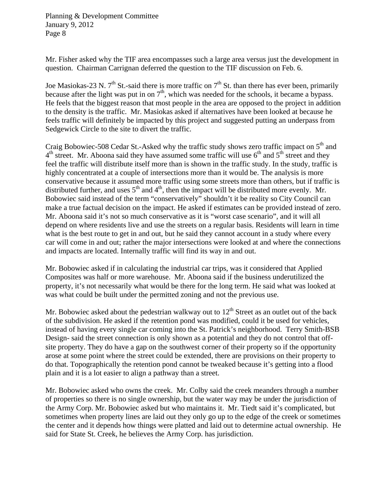Mr. Fisher asked why the TIF area encompasses such a large area versus just the development in question. Chairman Carrignan deferred the question to the TIF discussion on Feb. 6.

Joe Masiokas-23 N.  $7<sup>th</sup>$  St.-said there is more traffic on  $7<sup>th</sup>$  St. than there has ever been, primarily because after the light was put in on  $7<sup>th</sup>$ , which was needed for the schools, it became a bypass. He feels that the biggest reason that most people in the area are opposed to the project in addition to the density is the traffic. Mr. Masiokas asked if alternatives have been looked at because he feels traffic will definitely be impacted by this project and suggested putting an underpass from Sedgewick Circle to the site to divert the traffic.

Craig Bobowiec-508 Cedar St.-Asked why the traffic study shows zero traffic impact on 5<sup>th</sup> and  $4<sup>th</sup>$  street. Mr. Aboona said they have assumed some traffic will use  $6<sup>th</sup>$  and  $5<sup>th</sup>$  street and they feel the traffic will distribute itself more than is shown in the traffic study. In the study, traffic is highly concentrated at a couple of intersections more than it would be. The analysis is more conservative because it assumed more traffic using some streets more than others, but if traffic is distributed further, and uses  $5<sup>th</sup>$  and  $4<sup>th</sup>$ , then the impact will be distributed more evenly. Mr. Bobowiec said instead of the term "conservatively" shouldn't it be reality so City Council can make a true factual decision on the impact. He asked if estimates can be provided instead of zero. Mr. Aboona said it's not so much conservative as it is "worst case scenario", and it will all depend on where residents live and use the streets on a regular basis. Residents will learn in time what is the best route to get in and out, but he said they cannot account in a study where every car will come in and out; rather the major intersections were looked at and where the connections and impacts are located. Internally traffic will find its way in and out.

Mr. Bobowiec asked if in calculating the industrial car trips, was it considered that Applied Composites was half or more warehouse. Mr. Aboona said if the business underutilized the property, it's not necessarily what would be there for the long term. He said what was looked at was what could be built under the permitted zoning and not the previous use.

Mr. Bobowiec asked about the pedestrian walkway out to  $12<sup>th</sup>$  Street as an outlet out of the back of the subdivision. He asked if the retention pond was modified, could it be used for vehicles, instead of having every single car coming into the St. Patrick's neighborhood. Terry Smith-BSB Design- said the street connection is only shown as a potential and they do not control that offsite property. They do have a gap on the southwest corner of their property so if the opportunity arose at some point where the street could be extended, there are provisions on their property to do that. Topographically the retention pond cannot be tweaked because it's getting into a flood plain and it is a lot easier to align a pathway than a street.

Mr. Bobowiec asked who owns the creek. Mr. Colby said the creek meanders through a number of properties so there is no single ownership, but the water way may be under the jurisdiction of the Army Corp. Mr. Bobowiec asked but who maintains it. Mr. Tiedt said it's complicated, but sometimes when property lines are laid out they only go up to the edge of the creek or sometimes the center and it depends how things were platted and laid out to determine actual ownership. He said for State St. Creek, he believes the Army Corp. has jurisdiction.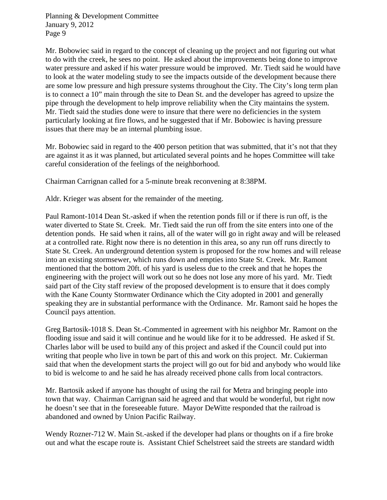Mr. Bobowiec said in regard to the concept of cleaning up the project and not figuring out what to do with the creek, he sees no point. He asked about the improvements being done to improve water pressure and asked if his water pressure would be improved. Mr. Tiedt said he would have to look at the water modeling study to see the impacts outside of the development because there are some low pressure and high pressure systems throughout the City. The City's long term plan is to connect a 10" main through the site to Dean St. and the developer has agreed to upsize the pipe through the development to help improve reliability when the City maintains the system. Mr. Tiedt said the studies done were to insure that there were no deficiencies in the system particularly looking at fire flows, and he suggested that if Mr. Bobowiec is having pressure issues that there may be an internal plumbing issue.

Mr. Bobowiec said in regard to the 400 person petition that was submitted, that it's not that they are against it as it was planned, but articulated several points and he hopes Committee will take careful consideration of the feelings of the neighborhood.

Chairman Carrignan called for a 5-minute break reconvening at 8:38PM.

Aldr. Krieger was absent for the remainder of the meeting.

Paul Ramont-1014 Dean St.-asked if when the retention ponds fill or if there is run off, is the water diverted to State St. Creek. Mr. Tiedt said the run off from the site enters into one of the detention ponds. He said when it rains, all of the water will go in right away and will be released at a controlled rate. Right now there is no detention in this area, so any run off runs directly to State St. Creek. An underground detention system is proposed for the row homes and will release into an existing stormsewer, which runs down and empties into State St. Creek. Mr. Ramont mentioned that the bottom 20ft. of his yard is useless due to the creek and that he hopes the engineering with the project will work out so he does not lose any more of his yard. Mr. Tiedt said part of the City staff review of the proposed development is to ensure that it does comply with the Kane County Stormwater Ordinance which the City adopted in 2001 and generally speaking they are in substantial performance with the Ordinance. Mr. Ramont said he hopes the Council pays attention.

Greg Bartosik-1018 S. Dean St.-Commented in agreement with his neighbor Mr. Ramont on the flooding issue and said it will continue and he would like for it to be addressed. He asked if St. Charles labor will be used to build any of this project and asked if the Council could put into writing that people who live in town be part of this and work on this project. Mr. Cukierman said that when the development starts the project will go out for bid and anybody who would like to bid is welcome to and he said he has already received phone calls from local contractors.

Mr. Bartosik asked if anyone has thought of using the rail for Metra and bringing people into town that way. Chairman Carrignan said he agreed and that would be wonderful, but right now he doesn't see that in the foreseeable future. Mayor DeWitte responded that the railroad is abandoned and owned by Union Pacific Railway.

Wendy Rozner-712 W. Main St.-asked if the developer had plans or thoughts on if a fire broke out and what the escape route is. Assistant Chief Schelstreet said the streets are standard width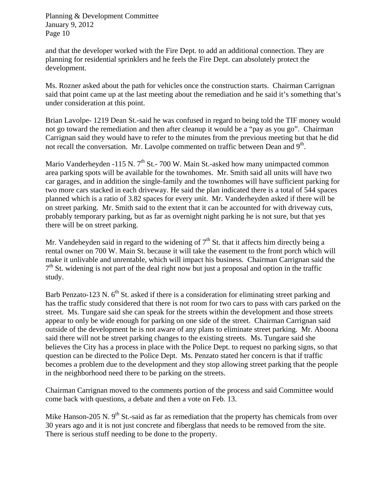and that the developer worked with the Fire Dept. to add an additional connection. They are planning for residential sprinklers and he feels the Fire Dept. can absolutely protect the development.

Ms. Rozner asked about the path for vehicles once the construction starts. Chairman Carrignan said that point came up at the last meeting about the remediation and he said it's something that's under consideration at this point.

Brian Lavolpe- 1219 Dean St.-said he was confused in regard to being told the TIF money would not go toward the remediation and then after cleanup it would be a "pay as you go". Chairman Carrignan said they would have to refer to the minutes from the previous meeting but that he did not recall the conversation. Mr. Lavolpe commented on traffic between Dean and 9<sup>th</sup>.

Mario Vanderheyden -115 N.  $7<sup>th</sup>$  St.- 700 W. Main St.-asked how many unimpacted common area parking spots will be available for the townhomes. Mr. Smith said all units will have two car garages, and in addition the single-family and the townhomes will have sufficient parking for two more cars stacked in each driveway. He said the plan indicated there is a total of 544 spaces planned which is a ratio of 3.82 spaces for every unit. Mr. Vanderheyden asked if there will be on street parking. Mr. Smith said to the extent that it can be accounted for with driveway cuts, probably temporary parking, but as far as overnight night parking he is not sure, but that yes there will be on street parking.

Mr. Vandeheyden said in regard to the widening of  $7<sup>th</sup>$  St. that it affects him directly being a rental owner on 700 W. Main St. because it will take the easement to the front porch which will make it unlivable and unrentable, which will impact his business. Chairman Carrignan said the  $7<sup>th</sup>$  St. widening is not part of the deal right now but just a proposal and option in the traffic study.

Barb Penzato-123 N.  $6<sup>th</sup>$  St. asked if there is a consideration for eliminating street parking and has the traffic study considered that there is not room for two cars to pass with cars parked on the street. Ms. Tungare said she can speak for the streets within the development and those streets appear to only be wide enough for parking on one side of the street. Chairman Carrignan said outside of the development he is not aware of any plans to eliminate street parking. Mr. Aboona said there will not be street parking changes to the existing streets. Ms. Tungare said she believes the City has a process in place with the Police Dept. to request no parking signs, so that question can be directed to the Police Dept. Ms. Penzato stated her concern is that if traffic becomes a problem due to the development and they stop allowing street parking that the people in the neighborhood need there to be parking on the streets.

Chairman Carrignan moved to the comments portion of the process and said Committee would come back with questions, a debate and then a vote on Feb. 13.

Mike Hanson-205 N.  $9<sup>th</sup>$  St.-said as far as remediation that the property has chemicals from over 30 years ago and it is not just concrete and fiberglass that needs to be removed from the site. There is serious stuff needing to be done to the property.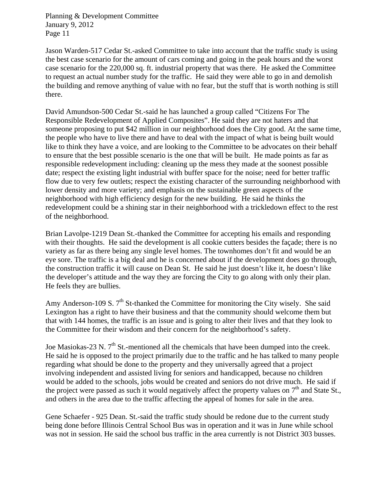Jason Warden-517 Cedar St.-asked Committee to take into account that the traffic study is using the best case scenario for the amount of cars coming and going in the peak hours and the worst case scenario for the 220,000 sq. ft. industrial property that was there. He asked the Committee to request an actual number study for the traffic. He said they were able to go in and demolish the building and remove anything of value with no fear, but the stuff that is worth nothing is still there.

David Amundson-500 Cedar St.-said he has launched a group called "Citizens For The Responsible Redevelopment of Applied Composites". He said they are not haters and that someone proposing to put \$42 million in our neighborhood does the City good. At the same time, the people who have to live there and have to deal with the impact of what is being built would like to think they have a voice, and are looking to the Committee to be advocates on their behalf to ensure that the best possible scenario is the one that will be built. He made points as far as responsible redevelopment including: cleaning up the mess they made at the soonest possible date; respect the existing light industrial with buffer space for the noise; need for better traffic flow due to very few outlets; respect the existing character of the surrounding neighborhood with lower density and more variety; and emphasis on the sustainable green aspects of the neighborhood with high efficiency design for the new building. He said he thinks the redevelopment could be a shining star in their neighborhood with a trickledown effect to the rest of the neighborhood.

Brian Lavolpe-1219 Dean St.-thanked the Committee for accepting his emails and responding with their thoughts. He said the development is all cookie cutters besides the façade; there is no variety as far as there being any single level homes. The townhomes don't fit and would be an eye sore. The traffic is a big deal and he is concerned about if the development does go through, the construction traffic it will cause on Dean St. He said he just doesn't like it, he doesn't like the developer's attitude and the way they are forcing the City to go along with only their plan. He feels they are bullies.

Amy Anderson-109 S.  $7<sup>th</sup>$  St-thanked the Committee for monitoring the City wisely. She said Lexington has a right to have their business and that the community should welcome them but that with 144 homes, the traffic is an issue and is going to alter their lives and that they look to the Committee for their wisdom and their concern for the neighborhood's safety.

Joe Masiokas-23 N.  $7<sup>th</sup>$  St.-mentioned all the chemicals that have been dumped into the creek. He said he is opposed to the project primarily due to the traffic and he has talked to many people regarding what should be done to the property and they universally agreed that a project involving independent and assisted living for seniors and handicapped, because no children would be added to the schools, jobs would be created and seniors do not drive much. He said if the project were passed as such it would negatively affect the property values on  $7<sup>th</sup>$  and State St., and others in the area due to the traffic affecting the appeal of homes for sale in the area.

Gene Schaefer - 925 Dean. St.-said the traffic study should be redone due to the current study being done before Illinois Central School Bus was in operation and it was in June while school was not in session. He said the school bus traffic in the area currently is not District 303 busses.